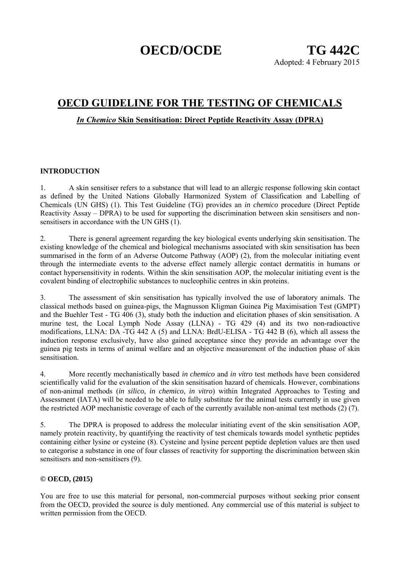### **OECD GUIDELINE FOR THE TESTING OF CHEMICALS**

### *In Chemico* **Skin Sensitisation: Direct Peptide Reactivity Assay (DPRA)**

### **INTRODUCTION**

 $1_{-}$  as defined by the United Nations Globally Harmonized System of Classification and Labelling of Chemicals (UN GHS) (1). This Test Guideline (TG) provides an *in chemico* procedure (Direct Peptide Reactivity Assay – DPRA) to be used for supporting the discrimination between skin sensitisers and non-1. A skin sensitiser refers to a substance that will lead to an allergic response following skin contact sensitisers in accordance with the UN GHS (1).

 2. There is general agreement regarding the key biological events underlying skin sensitisation. The existing knowledge of the chemical and biological mechanisms associated with skin sensitisation has been summarised in the form of an Adverse Outcome Pathway (AOP) (2), from the molecular initiating event through the intermediate events to the adverse effect namely allergic contact dermatitis in humans or contact hypersensitivity in rodents. Within the skin sensitisation AOP, the molecular initiating event is the covalent binding of electrophilic substances to nucleophilic centres in skin proteins.

 3. The assessment of skin sensitisation has typically involved the use of laboratory animals. The classical methods based on guinea-pigs, the Magnusson Kligman Guinea Pig Maximisation Test (GMPT) and the Buehler Test - TG 406 (3), study both the induction and elicitation phases of skin sensitisation. A murine test, the Local Lymph Node Assay (LLNA) - TG 429 (4) and its two non-radioactive modifications, LLNA: DA -TG 442 A (5) and LLNA: BrdU-ELISA - TG 442 B (6), which all assess the induction response exclusively, have also gained acceptance since they provide an advantage over the guinea pig tests in terms of animal welfare and an objective measurement of the induction phase of skin sensitisation.

 4. More recently mechanistically based *in chemico* and *in vitro* test methods have been considered scientifically valid for the evaluation of the skin sensitisation hazard of chemicals. However, combinations of non-animal methods (*in silico*, *in chemico*, *in vitro*) within Integrated Approaches to Testing and Assessment (IATA) will be needed to be able to fully substitute for the animal tests currently in use given the restricted AOP mechanistic coverage of each of the currently available non-animal test methods (2) (7).

 5. The DPRA is proposed to address the molecular initiating event of the skin sensitisation AOP, namely protein reactivity, by quantifying the reactivity of test chemicals towards model synthetic peptides containing either lysine or cysteine (8). Cysteine and lysine percent peptide depletion values are then used to categorise a substance in one of four classes of reactivity for supporting the discrimination between skin sensitisers and non-sensitisers (9).

### **© OECD, (2015)**

 You are free to use this material for personal, non-commercial purposes without seeking prior consent from the OECD, provided the source is duly mentioned. Any commercial use of this material is subject to written permission from the OECD.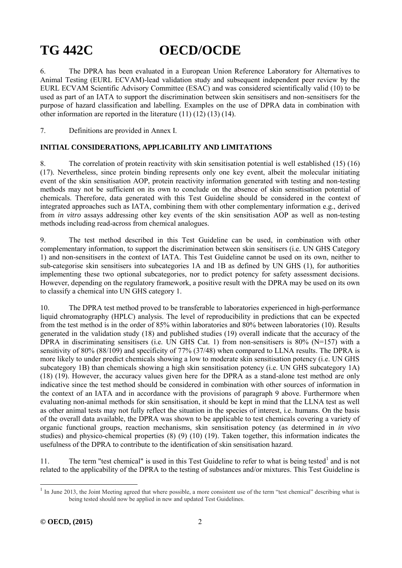6. The DPRA has been evaluated in a European Union Reference Laboratory for Alternatives to Animal Testing (EURL ECVAM)-lead validation study and subsequent independent peer review by the EURL ECVAM Scientific Advisory Committee (ESAC) and was considered scientifically valid (10) to be used as part of an IATA to support the discrimination between skin sensitisers and non-sensitisers for the purpose of hazard classification and labelling. Examples on the use of DPRA data in combination with other information are reported in the literature  $(11)(12)(13)(14)$ .

7. Definitions are provided in Annex I.

#### **INITIAL CONSIDERATIONS, APPLICABILITY AND LIMITATIONS**

8. (17). Nevertheless, since protein binding represents only one key event, albeit the molecular initiating event of the skin sensitisation AOP, protein reactivity information generated with testing and non-testing methods may not be sufficient on its own to conclude on the absence of skin sensitisation potential of chemicals. Therefore, data generated with this Test Guideline should be considered in the context of integrated approaches such as IATA, combining them with other complementary information e.g., derived from *in vitro* assays addressing other key events of the skin sensitisation AOP as well as non-testing 8. The correlation of protein reactivity with skin sensitisation potential is well established (15) (16) methods including read-across from chemical analogues.

 9. The test method described in this Test Guideline can be used, in combination with other complementary information, to support the discrimination between skin sensitisers (i.e. UN GHS Category 1) and non-sensitisers in the context of IATA. This Test Guideline cannot be used on its own, neither to sub-categorise skin sensitisers into subcategories 1A and 1B as defined by UN GHS (1), for authorities implementing these two optional subcategories, nor to predict potency for safety assessment decisions. However, depending on the regulatory framework, a positive result with the DPRA may be used on its own to classify a chemical into UN GHS category 1.

 liquid chromatography (HPLC) analysis. The level of reproducibility in predictions that can be expected from the test method is in the order of 85% within laboratories and 80% between laboratories (10). Results generated in the validation study (18) and published studies (19) overall indicate that the accuracy of the DPRA in discriminating sensitisers (i.e. UN GHS Cat. 1) from non-sensitisers is 80% (N=157) with a sensitivity of 80% (88/109) and specificity of 77% (37/48) when compared to LLNA results. The DPRA is more likely to under predict chemicals showing a low to moderate skin sensitisation potency (i.e. UN GHS subcategory 1B) than chemicals showing a high skin sensitisation potency (i.e. UN GHS subcategory 1A) (18) (19). However, the accuracy values given here for the DPRA as a stand-alone test method are only indicative since the test method should be considered in combination with other sources of information in the context of an IATA and in accordance with the provisions of paragraph 9 above. Furthermore when evaluating non-animal methods for skin sensitisation, it should be kept in mind that the LLNA test as well as other animal tests may not fully reflect the situation in the species of interest, i.e. humans. On the basis of the overall data available, the DPRA was shown to be applicable to test chemicals covering a variety of organic functional groups, reaction mechanisms, skin sensitisation potency (as determined in *in vivo*  studies) and physico-chemical properties (8) (9) (10) (19). Taken together, this information indicates the usefulness of the DPRA to contribute to the identification of skin sensitisation hazard. 10. The DPRA test method proved to be transferable to laboratories experienced in high-performance

11. The term "test chemical" is used in this Test Guideline to refer to what is being tested<sup>1</sup> and is not related to the applicability of the DPRA to the testing of substances and/or mixtures. This Test Guideline is

 $\overline{a}$ 

 $<sup>1</sup>$  In June 2013, the Joint Meeting agreed that where possible, a more consistent use of the term "test chemical" describing what is</sup> being tested should now be applied in new and updated Test Guidelines.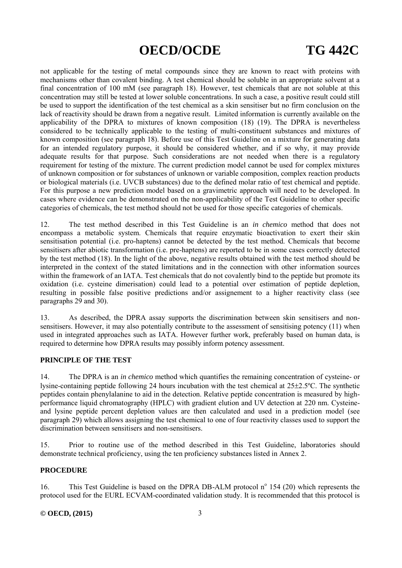not applicable for the testing of metal compounds since they are known to react with proteins with mechanisms other than covalent binding. A test chemical should be soluble in an appropriate solvent at a final concentration of 100 mM (see paragraph 18). However, test chemicals that are not soluble at this concentration may still be tested at lower soluble concentrations. In such a case, a positive result could still be used to support the identification of the test chemical as a skin sensitiser but no firm conclusion on the lack of reactivity should be drawn from a negative result. Limited information is currently available on the applicability of the DPRA to mixtures of known composition (18) (19). The DPRA is nevertheless considered to be technically applicable to the testing of multi-constituent substances and mixtures of known composition (see paragraph 18). Before use of this Test Guideline on a mixture for generating data for an intended regulatory purpose, it should be considered whether, and if so why, it may provide adequate results for that purpose. Such considerations are not needed when there is a regulatory requirement for testing of the mixture. The current prediction model cannot be used for complex mixtures of unknown composition or for substances of unknown or variable composition, complex reaction products or biological materials (i.e. UVCB substances) due to the defined molar ratio of test chemical and peptide. For this purpose a new prediction model based on a gravimetric approach will need to be developed. In cases where evidence can be demonstrated on the non-applicability of the Test Guideline to other specific categories of chemicals, the test method should not be used for those specific categories of chemicals.

 12. The test method described in this Test Guideline is an *in chemico* method that does not encompass a metabolic system. Chemicals that require enzymatic bioactivation to exert their skin sensitisation potential (i.e. pro-haptens) cannot be detected by the test method. Chemicals that become sensitisers after abiotic transformation (i.e. pre-haptens) are reported to be in some cases correctly detected by the test method (18). In the light of the above, negative results obtained with the test method should be interpreted in the context of the stated limitations and in the connection with other information sources within the framework of an IATA. Test chemicals that do not covalently bind to the peptide but promote its oxidation (i.e. cysteine dimerisation) could lead to a potential over estimation of peptide depletion, resulting in possible false positive predictions and/or assignement to a higher reactivity class (see paragraphs 29 and 30).

 13. As described, the DPRA assay supports the discrimination between skin sensitisers and non- sensitisers. However, it may also potentially contribute to the assessment of sensitising potency (11) when used in integrated approaches such as IATA. However further work, preferably based on human data, is required to determine how DPRA results may possibly inform potency assessment.

#### **PRINCIPLE OF THE TEST**

 14. The DPRA is an *in chemico* method which quantifies the remaining concentration of cysteine- or lysine-containing peptide following 24 hours incubation with the test chemical at 25±2.5°C. The synthetic peptides contain phenylalanine to aid in the detection. Relative peptide concentration is measured by high- performance liquid chromatography (HPLC) with gradient elution and UV detection at 220 nm. Cysteine- and lysine peptide percent depletion values are then calculated and used in a prediction model (see paragraph 29) which allows assigning the test chemical to one of four reactivity classes used to support the discrimination between sensitisers and non-sensitisers.

 15. Prior to routine use of the method described in this Test Guideline, laboratories should demonstrate technical proficiency, using the ten proficiency substances listed in Annex 2.

#### **PROCEDURE**

16. This Test Guideline is based on the DPRA DB-ALM protocol n° 154 (20) which represents the protocol used for the EURL ECVAM-coordinated validation study. It is recommended that this protocol is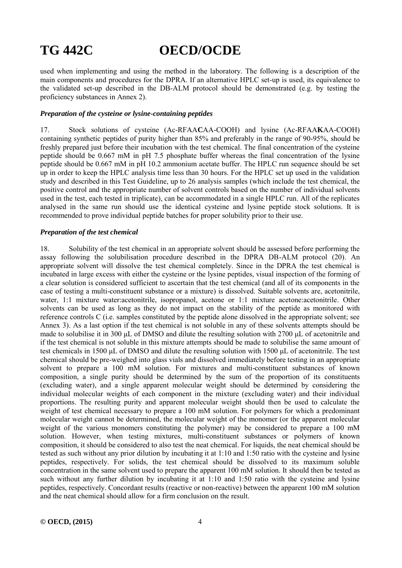used when implementing and using the method in the laboratory. The following is a description of the main components and procedures for the DPRA. If an alternative HPLC set-up is used, its equivalence to the validated set-up described in the DB-ALM protocol should be demonstrated (e.g. by testing the proficiency substances in Annex 2).

#### *Preparation of the cysteine or lysine-containing peptides*

 17. Stock solutions of cysteine (Ac-RFAA**C**AA-COOH) and lysine (Ac-RFAA**K**AA-COOH) containing synthetic peptides of purity higher than 85% and preferably in the range of 90-95%, should be freshly prepared just before their incubation with the test chemical. The final concentration of the cysteine peptide should be 0.667 mM in pH 7.5 phosphate buffer whereas the final concentration of the lysine peptide should be 0.667 mM in pH 10.2 ammonium acetate buffer. The HPLC run sequence should be set up in order to keep the HPLC analysis time less than 30 hours. For the HPLC set up used in the validation positive control and the appropriate number of solvent controls based on the number of individual solvents used in the test, each tested in triplicate), can be accommodated in a single HPLC run. All of the replicates analysed in the same run should use the identical cysteine and lysine peptide stock solutions. It is recommended to prove individual peptide batches for proper solubility prior to their use. study and described in this Test Guideline, up to 26 analysis samples (which include the test chemical, the

#### *Preparation of the test chemical*

 18. Solubility of the test chemical in an appropriate solvent should be assessed before performing the assay following the solubilisation procedure described in the DPRA DB-ALM protocol (20). An appropriate solvent will dissolve the test chemical completely. Since in the DPRA the test chemical is incubated in large excess with either the cysteine or the lysine peptides, visual inspection of the forming of a clear solution is considered sufficient to ascertain that the test chemical (and all of its components in the case of testing a multi-constituent substance or a mixture) is dissolved. Suitable solvents are, acetonitrile, water, 1:1 mixture water:acetonitrile, isopropanol, acetone or 1:1 mixture acetone:acetonitrile. Other solvents can be used as long as they do not impact on the stability of the peptide as monitored with reference controls C (i.e. samples constituted by the peptide alone dissolved in the appropriate solvent; see Annex 3). As a last option if the test chemical is not soluble in any of these solvents attempts should be made to solubilise it in 300 μL of DMSO and dilute the resulting solution with 2700 μL of acetonitrile and if the test chemical is not soluble in this mixture attempts should be made to solubilise the same amount of test chemicals in 1500 μL of DMSO and dilute the resulting solution with 1500 μL of acetonitrile. The test chemical should be pre-weighed into glass vials and dissolved immediately before testing in an appropriate solvent to prepare a 100 mM solution. For mixtures and multi-constituent substances of known composition, a single purity should be determined by the sum of the proportion of its constituents (excluding water), and a single apparent molecular weight should be determined by considering the individual molecular weights of each component in the mixture (excluding water) and their individual proportions. The resulting purity and apparent molecular weight should then be used to calculate the weight of test chemical necessary to prepare a 100 mM solution. For polymers for which a predominant molecular weight cannot be determined, the molecular weight of the monomer (or the apparent molecular weight of the various monomers constituting the polymer) may be considered to prepare a 100 mM solution. However, when testing mixtures, multi-constituent substances or polymers of known tested as such without any prior dilution by incubating it at 1:10 and 1:50 ratio with the cysteine and lysine peptides, respectively. For solids, the test chemical should be dissolved to its maximum soluble concentration in the same solvent used to prepare the apparent 100 mM solution. It should then be tested as such without any further dilution by incubating it at 1:10 and 1:50 ratio with the cysteine and lysine and the neat chemical should allow for a firm conclusion on the result. composition, it should be considered to also test the neat chemical. For liquids, the neat chemical should be peptides, respectively. Concordant results (reactive or non-reactive) between the apparent 100 mM solution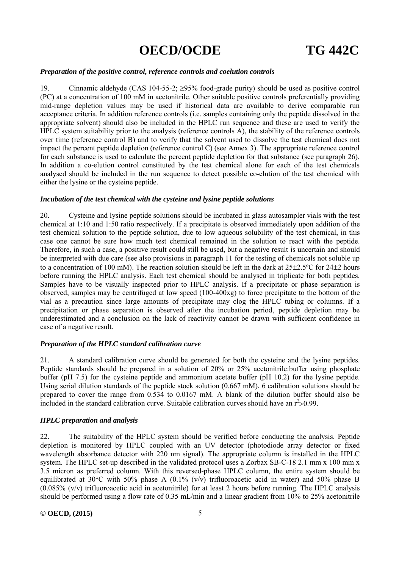#### *Preparation of the positive control, reference controls and coelution controls*

19. Cinnamic aldehyde (CAS 104-55-2;  $\geq$ 95% food-grade purity) should be used as positive control (PC) at a concentration of 100 mM in acetonitrile. Other suitable positive controls preferentially providing mid-range depletion values may be used if historical data are available to derive comparable run acceptance criteria. In addition reference controls (i.e. samples containing only the peptide dissolved in the appropriate solvent) should also be included in the HPLC run sequence and these are used to verify the HPLC system suitability prior to the analysis (reference controls A), the stability of the reference controls over time (reference control B) and to verify that the solvent used to dissolve the test chemical does not for each substance is used to calculate the percent peptide depletion for that substance (see paragraph 26). In addition a co-elution control constituted by the test chemical alone for each of the test chemicals analysed should be included in the run sequence to detect possible co-elution of the test chemical with either the lysine or the cysteine peptide. impact the percent peptide depletion (reference control C) (see Annex 3). The appropriate reference control

#### *Incubation of the test chemical with the cysteine and lysine peptide solutions*

 chemical at 1:10 and 1:50 ratio respectively. If a precipitate is observed immediately upon addition of the test chemical solution to the peptide solution, due to low aqueous solubility of the test chemical, in this case one cannot be sure how much test chemical remained in the solution to react with the peptide. Therefore, in such a case, a positive result could still be used, but a negative result is uncertain and should be interpreted with due care (see also provisions in paragraph 11 for the testing of chemicals not soluble up to a concentration of 100 mM). The reaction solution should be left in the dark at  $25\pm2.5^{\circ}$ C for  $24\pm2$  hours before running the HPLC analysis. Each test chemical should be analysed in triplicate for both peptides. Samples have to be visually inspected prior to HPLC analysis. If a precipitate or phase separation is observed, samples may be centrifuged at low speed (100-400xg) to force precipitate to the bottom of the vial as a precaution since large amounts of precipitate may clog the HPLC tubing or columns. If a precipitation or phase separation is observed after the incubation period, peptide depletion may be underestimated and a conclusion on the lack of reactivity cannot be drawn with sufficient confidence in case of a negative result. 20. Cysteine and lysine peptide solutions should be incubated in glass autosampler vials with the test

#### *Preparation of the HPLC standard calibration curve*

 21. A standard calibration curve should be generated for both the cysteine and the lysine peptides. Peptide standards should be prepared in a solution of 20% or 25% acetonitrile:buffer using phosphate buffer (pH 7.5) for the cysteine peptide and ammonium acetate buffer (pH 10.2) for the lysine peptide. Using serial dilution standards of the peptide stock solution (0.667 mM), 6 calibration solutions should be prepared to cover the range from 0.534 to 0.0167 mM. A blank of the dilution buffer should also be included in the standard calibration curve. Suitable calibration curves should have an  $r^2 > 0.99$ .

#### *HPLC preparation and analysis*

 22. The suitability of the HPLC system should be verified before conducting the analysis. Peptide depletion is monitored by HPLC coupled with an UV detector (photodiode array detector or fixed wavelength absorbance detector with 220 nm signal). The appropriate column is installed in the HPLC system. The HPLC set-up described in the validated protocol uses a Zorbax SB-C-18 2.1 mm x 100 mm x 3.5 micron as preferred column. With this reversed-phase HPLC column, the entire system should be equilibrated at 30 $\degree$ C with 50% phase A (0.1% (v/v) trifluoroacetic acid in water) and 50% phase B (0.085% (v/v) trifluoroacetic acid in acetonitrile) for at least 2 hours before running. The HPLC analysis should be performed using a flow rate of 0.35 mL/min and a linear gradient from 10% to 25% acetonitrile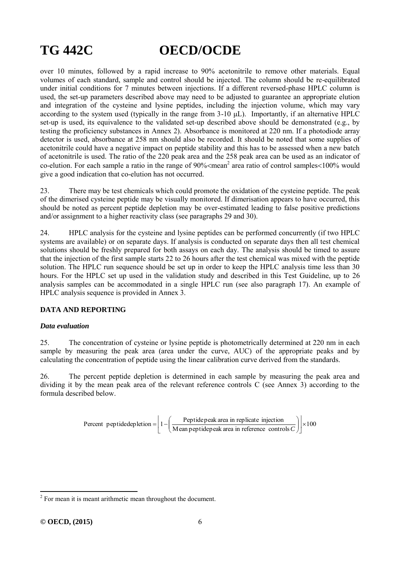over 10 minutes, followed by a rapid increase to 90% acetonitrile to remove other materials. Equal volumes of each standard, sample and control should be injected. The column should be re-equilibrated under initial conditions for 7 minutes between injections. If a different reversed-phase HPLC column is and integration of the cysteine and lysine peptides, including the injection volume, which may vary according to the system used (typically in the range from 3-10 μL). Importantly, if an alternative HPLC testing the proficiency substances in Annex 2). Absorbance is monitored at 220 nm. If a photodiode array detector is used, absorbance at 258 nm should also be recorded. It should be noted that some supplies of acetonitrile could have a negative impact on peptide stability and this has to be assessed when a new batch of acetonitrile is used. The ratio of the 220 peak area and the 258 peak area can be used as an indicator of co-elution. For each sample a ratio in the range of  $90\%<$ mean<sup>2</sup> area ratio of control samples<100% would give a good indication that co-elution has not occurred. used, the set-up parameters described above may need to be adjusted to guarantee an appropriate elution set-up is used, its equivalence to the validated set-up described above should be demonstrated (e.g., by

 of the dimerised cysteine peptide may be visually monitored. If dimerisation appears to have occurred, this should be noted as percent peptide depletion may be over-estimated leading to false positive predictions and/or assignment to a higher reactivity class (see paragraphs 29 and 30). 23. There may be test chemicals which could promote the oxidation of the cysteine peptide. The peak

 24. HPLC analysis for the cysteine and lysine peptides can be performed concurrently (if two HPLC systems are available) or on separate days. If analysis is conducted on separate days then all test chemical that the injection of the first sample starts 22 to 26 hours after the test chemical was mixed with the peptide solution. The HPLC run sequence should be set up in order to keep the HPLC analysis time less than 30 hours. For the HPLC set up used in the validation study and described in this Test Guideline, up to 26 analysis samples can be accommodated in a single HPLC run (see also paragraph 17). An example of solutions should be freshly prepared for both assays on each day. The analysis should be timed to assure HPLC analysis sequence is provided in Annex 3.

### **DATA AND REPORTING**

#### *Data evaluation*

 25. The concentration of cysteine or lysine peptide is photometrically determined at 220 nm in each sample by measuring the peak area (area under the curve, AUC) of the appropriate peaks and by calculating the concentration of peptide using the linear calibration curve derived from the standards.

 26. The percent peptide depletion is determined in each sample by measuring the peak area and dividing it by the mean peak area of the relevant reference controls C (see Annex 3) according to the formula described below.

Percent peptide  
depletion = 
$$
\left[1 - \left(\frac{\text{Peptide peak area in replicate injection}}{\text{Mean peptide peak area in reference controls } C}\right)\right] \times 100
$$

 $\overline{a}$ 

 $2^{2}$  For mean it is meant arithmetic mean throughout the document.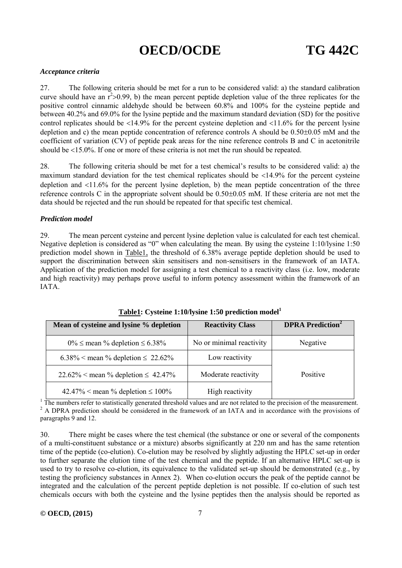#### *Acceptance criteria*

 27. The following criteria should be met for a run to be considered valid: a) the standard calibration curve should have an  $r^2 > 0.99$ , b) the mean percent peptide depletion value of the three replicates for the positive control cinnamic aldehyde should be between 60.8% and 100% for the cysteine peptide and between 40.2% and 69.0% for the lysine peptide and the maximum standard deviation (SD) for the positive control replicates should be  $< 14.9\%$  for the percent cysteine depletion and  $< 11.6\%$  for the percent lysine depletion and c) the mean peptide concentration of reference controls A should be  $0.50\pm0.05$  mM and the coefficient of variation (CV) of peptide peak areas for the nine reference controls B and C in acetonitrile should be  $\lt 15.0\%$ . If one or more of these criteria is not met the run should be repeated.

 28. The following criteria should be met for a test chemical's results to be considered valid: a) the maximum standard deviation for the test chemical replicates should be <14.9% for the percent cysteine depletion and <11.6% for the percent lysine depletion, b) the mean peptide concentration of the three reference controls C in the appropriate solvent should be  $0.50\pm0.05$  mM. If these criteria are not met the data should be rejected and the run should be repeated for that specific test chemical.

#### *Prediction model*

 29. The mean percent cysteine and percent lysine depletion value is calculated for each test chemical. Negative depletion is considered as "0" when calculating the mean. By using the cysteine 1:10/lysine 1:50 prediction model shown in **Table1**, the threshold of 6.38% average peptide depletion should be used to support the discrimination between skin sensitisers and non-sensitisers in the framework of an IATA. Application of the prediction model for assigning a test chemical to a reactivity class (i.e. low, moderate and high reactivity) may perhaps prove useful to inform potency assessment within the framework of an IATA.

| Mean of cysteine and lysine % depletion     | <b>Reactivity Class</b>  | <b>DPRA Prediction</b> <sup>2</sup> |
|---------------------------------------------|--------------------------|-------------------------------------|
| $0\% \le$ mean % depletion $\le 6.38\%$     | No or minimal reactivity | Negative                            |
| $6.38\%$ < mean % depletion $\leq 22.62\%$  | Low reactivity           |                                     |
| $22.62\%$ < mean % depletion $\leq 42.47\%$ | Moderate reactivity      | Positive                            |
| $42.47\%$ < mean % depletion $\leq 100\%$   | High reactivity          |                                     |

**Table1: Cysteine 1:10/lysine 1:50 prediction model<sup>1</sup>**

 $1$ <sup>1</sup> The numbers refer to statistically generated threshold values and are not related to the precision of the measurement.  $2^2$  A DPRA prediction should be considered in the framework of an IATA and in accordance with the provisions of paragraphs 9 and 12.

 30. There might be cases where the test chemical (the substance or one or several of the components of a multi-constituent substance or a mixture) absorbs significantly at 220 nm and has the same retention time of the peptide (co-elution). Co-elution may be resolved by slightly adjusting the HPLC set-up in order to further separate the elution time of the test chemical and the peptide. If an alternative HPLC set-up is testing the proficiency substances in Annex 2). When co-elution occurs the peak of the peptide cannot be integrated and the calculation of the percent peptide depletion is not possible. If co-elution of such test chemicals occurs with both the cysteine and the lysine peptides then the analysis should be reported as used to try to resolve co-elution, its equivalence to the validated set-up should be demonstrated (e.g., by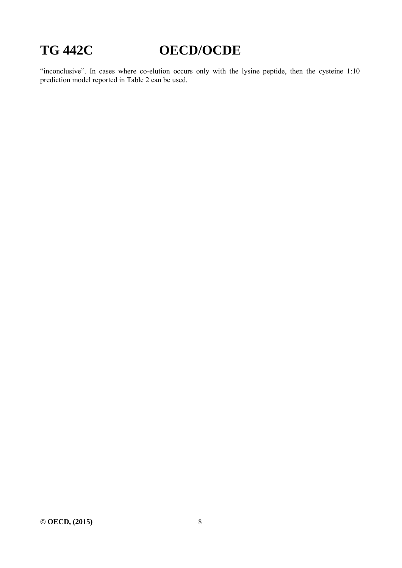"inconclusive". In cases where co-elution occurs only with the lysine peptide, then the cysteine 1:10 prediction model reported in Table 2 can be used.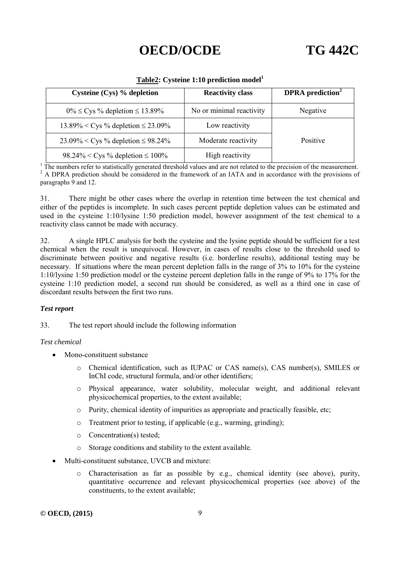| Cysteine $(Cys)$ % depletion               | <b>Reactivity class</b>  | <b>DPRA</b> prediction <sup>2</sup> |
|--------------------------------------------|--------------------------|-------------------------------------|
| $0\% \leq Cys$ % depletion $\leq 13.89\%$  | No or minimal reactivity | Negative                            |
| $13.89\% <$ Cys % depletion $\leq 23.09\%$ | Low reactivity           |                                     |
| $23.09\% <$ Cys % depletion $\leq 98.24\%$ | Moderate reactivity      | Positive                            |
| 98.24% < Cys % depletion $\leq 100\%$      | High reactivity          |                                     |

#### **Table2: Cysteine 1:10 prediction model<sup>1</sup>**

<sup>1</sup> The numbers refer to statistically generated threshold values and are not related to the precision of the measurement.  $2$  A DPRA prediction should be considered in the framework of an IATA and in accordance with the provisions of paragraphs 9 and 12.

 31. There might be other cases where the overlap in retention time between the test chemical and either of the peptides is incomplete. In such cases percent peptide depletion values can be estimated and used in the cysteine 1:10/lysine 1:50 prediction model, however assignment of the test chemical to a reactivity class cannot be made with accuracy.

 32. A single HPLC analysis for both the cysteine and the lysine peptide should be sufficient for a test chemical when the result is unequivocal. However, in cases of results close to the threshold used to discriminate between positive and negative results (i.e. borderline results), additional testing may be necessary. If situations where the mean percent depletion falls in the range of 3% to 10% for the cysteine 1:10/lysine 1:50 prediction model or the cysteine percent depletion falls in the range of 9% to 17% for the cysteine 1:10 prediction model, a second run should be considered, as well as a third one in case of discordant results between the first two runs.

#### *Test report*

33. The test report should include the following information

#### *Test chemical*

- Mono-constituent substance
	- o Chemical identification, such as IUPAC or CAS name(s), CAS number(s), SMILES or InChI code, structural formula, and/or other identifiers;
	- o Physical appearance, water solubility, molecular weight, and additional relevant physicochemical properties, to the extent available;
	- $\circ$  Purity, chemical identity of impurities as appropriate and practically feasible, etc;
	- o Treatment prior to testing, if applicable (e.g., warming, grinding);
	- o Concentration(s) tested;
	- o Storage conditions and stability to the extent available.
- Multi-constituent substance, UVCB and mixture:
	- o Characterisation as far as possible by e.g., chemical identity (see above), purity, quantitative occurrence and relevant physicochemical properties (see above) of the constituents, to the extent available;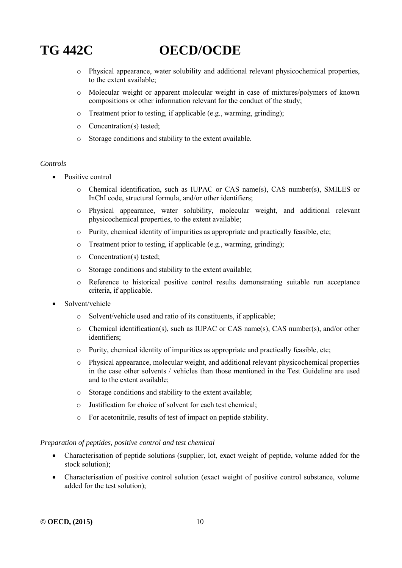- o Physical appearance, water solubility and additional relevant physicochemical properties, to the extent available;
- o Molecular weight or apparent molecular weight in case of mixtures/polymers of known compositions or other information relevant for the conduct of the study;
- o Treatment prior to testing, if applicable (e.g., warming, grinding);
- o Concentration(s) tested;
- o Storage conditions and stability to the extent available.

#### *Controls*

- Positive control
	- o Chemical identification, such as IUPAC or CAS name(s), CAS number(s), SMILES or InChI code, structural formula, and/or other identifiers;
	- o Physical appearance, water solubility, molecular weight, and additional relevant physicochemical properties, to the extent available;
	- o Purity, chemical identity of impurities as appropriate and practically feasible, etc;
	- o Treatment prior to testing, if applicable (e.g., warming, grinding);
	- o Concentration(s) tested;
	- o Storage conditions and stability to the extent available;
	- o Reference to historical positive control results demonstrating suitable run acceptance criteria, if applicable.
- Solvent/vehicle
	- o Solvent/vehicle used and ratio of its constituents, if applicable;
	- o Chemical identification(s), such as IUPAC or CAS name(s), CAS number(s), and/or other identifiers;
	- o Purity, chemical identity of impurities as appropriate and practically feasible, etc;
	- in the case other solvents / vehicles than those mentioned in the Test Guideline are used Physical appearance, molecular weight, and additional relevant physicochemical properties and to the extent available;
	- o Storage conditions and stability to the extent available;
	- o Justification for choice of solvent for each test chemical;
	- o For acetonitrile, results of test of impact on peptide stability.

#### *Preparation of peptides, positive control and test chemical*

- Characterisation of peptide solutions (supplier, lot, exact weight of peptide, volume added for the stock solution);
- Characterisation of positive control solution (exact weight of positive control substance, volume added for the test solution);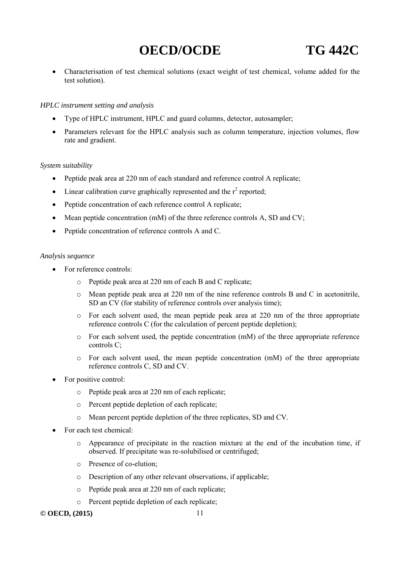Characterisation of test chemical solutions (exact weight of test chemical, volume added for the test solution).

#### *HPLC instrument setting and analysis*

- Type of HPLC instrument, HPLC and guard columns, detector, autosampler;
- Parameters relevant for the HPLC analysis such as column temperature, injection volumes, flow rate and gradient.

#### *System suitability*

- Peptide peak area at 220 nm of each standard and reference control A replicate;
- Linear calibration curve graphically represented and the  $r^2$  reported;
- Peptide concentration of each reference control A replicate;
- $\bullet$  Mean peptide concentration (mM) of the three reference controls A, SD and CV;
- Peptide concentration of reference controls A and C.

#### *Analysis sequence*

- For reference controls:
	- o Peptide peak area at 220 nm of each B and C replicate;
	- o Mean peptide peak area at 220 nm of the nine reference controls B and C in acetonitrile, SD an CV (for stability of reference controls over analysis time);
	- o For each solvent used, the mean peptide peak area at 220 nm of the three appropriate reference controls C (for the calculation of percent peptide depletion);
	- o For each solvent used, the peptide concentration (mM) of the three appropriate reference controls C;
	- o For each solvent used, the mean peptide concentration (mM) of the three appropriate reference controls C, SD and CV.
- For positive control:
	- $\circ$  Peptide peak area at 220 nm of each replicate;
	- o Percent peptide depletion of each replicate;
	- o Mean percent peptide depletion of the three replicates, SD and CV.
- For each test chemical:
	- o Appearance of precipitate in the reaction mixture at the end of the incubation time, if observed. If precipitate was re-solubilised or centrifuged;
	- o Presence of co-elution;
	- o Description of any other relevant observations, if applicable;
	- o Peptide peak area at 220 nm of each replicate;
	- o Percent peptide depletion of each replicate;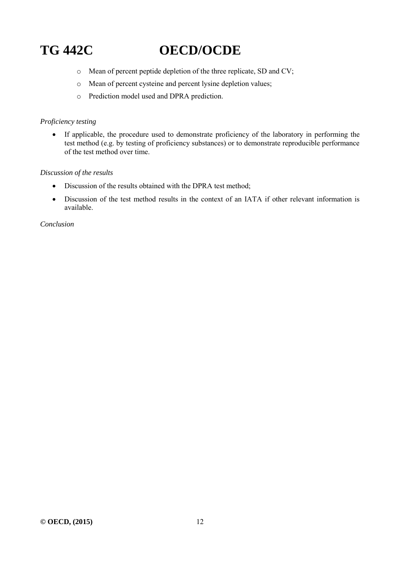- o Mean of percent peptide depletion of the three replicate, SD and CV;
- o Mean of percent cysteine and percent lysine depletion values;
- o Prediction model used and DPRA prediction.

#### *Proficiency testing*

 If applicable, the procedure used to demonstrate proficiency of the laboratory in performing the test method (e.g. by testing of proficiency substances) or to demonstrate reproducible performance of the test method over time.

#### *Discussion of the results*

- Discussion of the results obtained with the DPRA test method;
- Discussion of the test method results in the context of an IATA if other relevant information is available.

*Conclusion*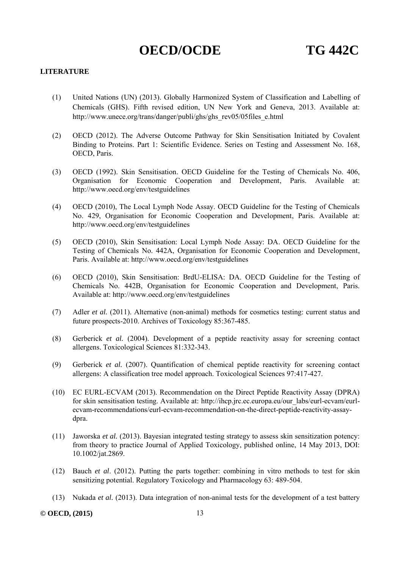#### **LITERATURE**

- (1) United Nations (UN) (2013). Globally Harmonized System of Classification and Labelling of Chemicals (GHS). Fifth revised edition, UN New York and Geneva, 2013. Available at: http://www.unece.org/trans/danger/publi/ghs/ghs\_rev05/05files\_e.html
- (2) OECD (2012). The Adverse Outcome Pathway for Skin Sensitisation Initiated by Covalent Binding to Proteins. Part 1: Scientific Evidence. Series on Testing and Assessment No. 168, OECD, Paris.
- (3) OECD (1992). Skin Sensitisation. OECD Guideline for the Testing of Chemicals No. 406, Organisation for Economic Cooperation and Development, Paris. Available at: http://www.oecd.org/env/testguidelines
- (4) OECD (2010), The Local Lymph Node Assay. OECD Guideline for the Testing of Chemicals No. 429, Organisation for Economic Cooperation and Development, Paris. Available at: http://www.oecd.org/env/testguidelines
- (5) OECD (2010), Skin Sensitisation: Local Lymph Node Assay: DA. OECD Guideline for the Testing of Chemicals No. 442A, Organisation for Economic Cooperation and Development, Paris. Available at: http://www.oecd.org/env/testguidelines
- (6) OECD (2010), Skin Sensitisation: BrdU-ELISA: DA. OECD Guideline for the Testing of Chemicals No. 442B, Organisation for Economic Cooperation and Development, Paris. Available at: http://www.oecd.org/env/testguidelines
- (7) Adler *et al.* (2011). Alternative (non-animal) methods for cosmetics testing: current status and future prospects-2010. Archives of Toxicology 85:367-485.
- (8) Gerberick *et al.* (2004). Development of a peptide reactivity assay for screening contact allergens. Toxicological Sciences 81:332-343.
- (9) Gerberick *et al.* (2007). Quantification of chemical peptide reactivity for screening contact allergens: A classification tree model approach. Toxicological Sciences 97:417-427.
- (10) EC EURL-ECVAM (2013). Recommendation on the Direct Peptide Reactivity Assay (DPRA) for skin sensitisation testing. Available at: http://ihcp.jrc.ec.europa.eu/our\_labs/eurl-ecvam/eurlecvam-recommendations/eurl-ecvam-recommendation-on-the-direct-peptide-reactivity-assaydpra.
- (11) Jaworska *et al.* (2013). Bayesian integrated testing strategy to assess skin sensitization potency: from theory to practice Journal of Applied Toxicology, published online, 14 May 2013, DOI: 10.1002/jat.2869.
- (12) Bauch *et al*. (2012). Putting the parts together: combining in vitro methods to test for skin sensitizing potential. Regulatory Toxicology and Pharmacology 63: 489-504.
- (13) Nukada *et al.* (2013). Data integration of non-animal tests for the development of a test battery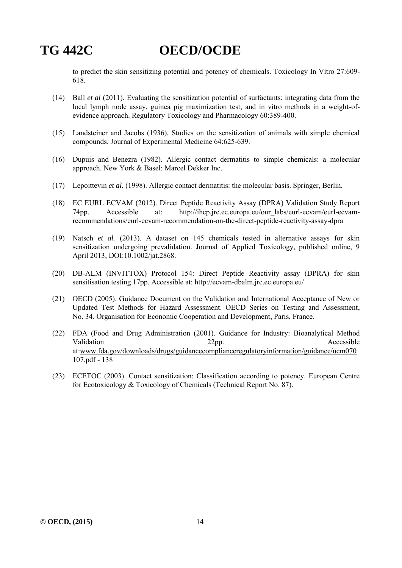to predict the skin sensitizing potential and potency of chemicals. Toxicology In Vitro 27:609- 618.

- (14) Ball *et al* (2011). Evaluating the sensitization potential of surfactants: integrating data from the local lymph node assay, guinea pig maximization test, and in vitro methods in a weight-ofevidence approach. Regulatory Toxicology and Pharmacology 60:389-400.
- (15) Landsteiner and Jacobs (1936). Studies on the sensitization of animals with simple chemical compounds. Journal of Experimental Medicine 64:625-639.
- (16) Dupuis and Benezra (1982). Allergic contact dermatitis to simple chemicals: a molecular approach. New York & Basel: Marcel Dekker Inc.
- (17) Lepoittevin *et al.* (1998). Allergic contact dermatitis: the molecular basis. Springer, Berlin.
- (18) EC EURL ECVAM (2012). Direct Peptide Reactivity Assay (DPRA) Validation Study Report 74pp. Accessible at: http://ihcp.jrc.ec.europa.eu/our\_labs/eurl-ecvam/eurl-ecvamrecommendations/eurl-ecvam-recommendation-on-the-direct-peptide-reactivity-assay-dpra
- (19) Natsch *et al.* (2013). A dataset on 145 chemicals tested in alternative assays for skin sensitization undergoing prevalidation. Journal of Applied Toxicology, published online, 9 April 2013, DOI:10.1002/jat.2868.
- (20) DB-ALM (INVITTOX) Protocol 154: Direct Peptide Reactivity assay (DPRA) for skin sensitisation testing 17pp. Accessible at: http://ecvam-dbalm.jrc.ec.europa.eu/
- (21) OECD (2005). Guidance Document on the Validation and International Acceptance of New or Updated Test Methods for Hazard Assessment. OECD Series on Testing and Assessment, No. 34. Organisation for Economic Cooperation and Development, Paris, France.
- (22) FDA (Food and Drug Administration (2001). Guidance for Industry: Bioanalytical Method [107.pdf - 138](http://www.fda.gov/downloads/drugs/guidancecomplianceregulatoryinformation/guidance/ucm070107.pdf%20-%20138)  Validation 22pp. 22pp. at[:www.fda.gov/downloads/drugs/guidancecomplianceregulatoryinformation/guidance/ucm070](http://www.fda.gov/downloads/drugs/guidancecomplianceregulatoryinformation/guidance/ucm070107.pdf%20-%20138)
- (23) ECETOC (2003). Contact sensitization: Classification according to potency. European Centre for Ecotoxicology & Toxicology of Chemicals (Technical Report No. 87).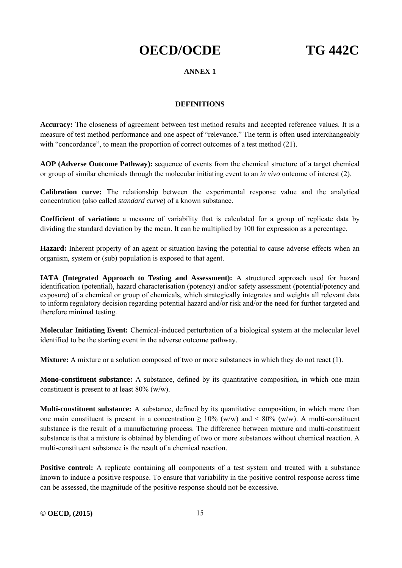### **ANNEX 1**

#### **DEFINITIONS**

 **Accuracy:** The closeness of agreement between test method results and accepted reference values. It is a with "concordance", to mean the proportion of correct outcomes of a test method (21). measure of test method performance and one aspect of "relevance." The term is often used interchangeably

 **AOP (Adverse Outcome Pathway):** sequence of events from the chemical structure of a target chemical or group of similar chemicals through the molecular initiating event to an *in vivo* outcome of interest (2).

 **Calibration curve:** The relationship between the experimental response value and the analytical concentration (also called *standard curve*) of a known substance.

 **Coefficient of variation:** a measure of variability that is calculated for a group of replicate data by dividing the standard deviation by the mean. It can be multiplied by 100 for expression as a percentage.

Hazard: Inherent property of an agent or situation having the potential to cause adverse effects when an organism, system or (sub) population is exposed to that agent.

 **IATA (Integrated Approach to Testing and Assessment):** A structured approach used for hazard identification (potential), hazard characterisation (potency) and/or safety assessment (potential/potency and exposure) of a chemical or group of chemicals, which strategically integrates and weights all relevant data to inform regulatory decision regarding potential hazard and/or risk and/or the need for further targeted and therefore minimal testing.

 **Molecular Initiating Event:** Chemical-induced perturbation of a biological system at the molecular level identified to be the starting event in the adverse outcome pathway.

**Mixture:** A mixture or a solution composed of two or more substances in which they do not react (1).

 **Mono-constituent substance:** A substance, defined by its quantitative composition, in which one main constituent is present to at least 80% (w/w).

Multi-constituent substance: A substance, defined by its quantitative composition, in which more than one main constituent is present in a concentration  $\geq 10\%$  (w/w) and < 80% (w/w). A multi-constituent substance is the result of a manufacturing process. The difference between mixture and multi-constituent substance is that a mixture is obtained by blending of two or more substances without chemical reaction. A multi-constituent substance is the result of a chemical reaction.

 **Positive control:** A replicate containing all components of a test system and treated with a substance known to induce a positive response. To ensure that variability in the positive control response across time can be assessed, the magnitude of the positive response should not be excessive.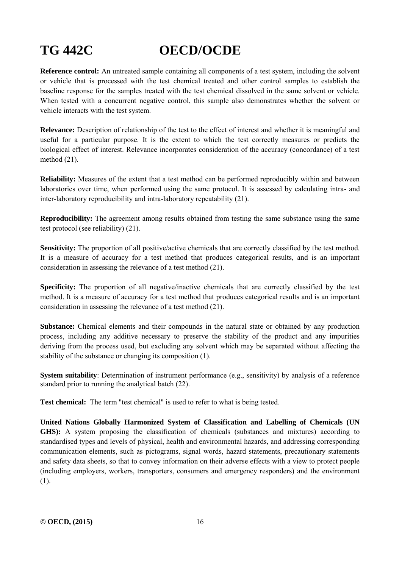**Reference control:** An untreated sample containing all components of a test system, including the solvent or vehicle that is processed with the test chemical treated and other control samples to establish the baseline response for the samples treated with the test chemical dissolved in the same solvent or vehicle. When tested with a concurrent negative control, this sample also demonstrates whether the solvent or vehicle interacts with the test system.

 **Relevance:** Description of relationship of the test to the effect of interest and whether it is meaningful and useful for a particular purpose. It is the extent to which the test correctly measures or predicts the biological effect of interest. Relevance incorporates consideration of the accuracy (concordance) of a test method (21).

 **Reliability:** Measures of the extent that a test method can be performed reproducibly within and between laboratories over time, when performed using the same protocol. It is assessed by calculating intra- and inter-laboratory reproducibility and intra-laboratory repeatability (21).

 **Reproducibility:** The agreement among results obtained from testing the same substance using the same test protocol (see reliability) (21).

Sensitivity: The proportion of all positive/active chemicals that are correctly classified by the test method. It is a measure of accuracy for a test method that produces categorical results, and is an important consideration in assessing the relevance of a test method (21).

 **Specificity:** The proportion of all negative/inactive chemicals that are correctly classified by the test method. It is a measure of accuracy for a test method that produces categorical results and is an important consideration in assessing the relevance of a test method (21).

 **Substance:** Chemical elements and their compounds in the natural state or obtained by any production process, including any additive necessary to preserve the stability of the product and any impurities deriving from the process used, but excluding any solvent which may be separated without affecting the stability of the substance or changing its composition (1).

 **System suitability**: Determination of instrument performance (e.g., sensitivity) by analysis of a reference standard prior to running the analytical batch (22).

**Test chemical:** The term "test chemical" is used to refer to what is being tested.

 **United Nations Globally Harmonized System of Classification and Labelling of Chemicals (UN GHS):** A system proposing the classification of chemicals (substances and mixtures) according to communication elements, such as pictograms, signal words, hazard statements, precautionary statements and safety data sheets, so that to convey information on their adverse effects with a view to protect people (including employers, workers, transporters, consumers and emergency responders) and the environment standardised types and levels of physical, health and environmental hazards, and addressing corresponding (1).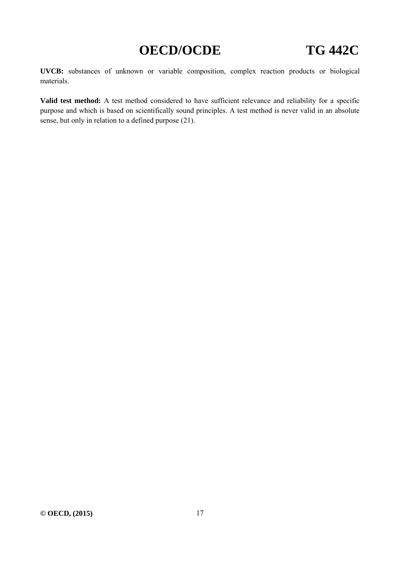**UVCB:** substances of unknown or variable composition, complex reaction products or biological materials.

Valid test method: A test method considered to have sufficient relevance and reliability for a specific purpose and which is based on scientifically sound principles. A test method is never valid in an absolute sense, but only in relation to a defined purpose (21).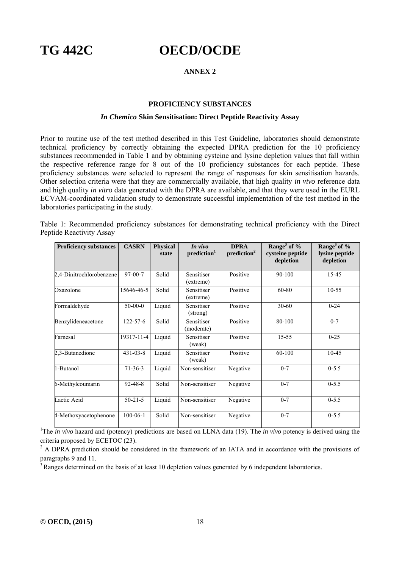#### **ANNEX 2**

#### **PROFICIENCY SUBSTANCES**

#### *In Chemico* **Skin Sensitisation: Direct Peptide Reactivity Assay**

 Prior to routine use of the test method described in this Test Guideline, laboratories should demonstrate technical proficiency by correctly obtaining the expected DPRA prediction for the 10 proficiency substances recommended in Table 1 and by obtaining cysteine and lysine depletion values that fall within the respective reference range for 8 out of the 10 proficiency substances for each peptide. These proficiency substances were selected to represent the range of responses for skin sensitisation hazards. Other selection criteria were that they are commercially available, that high quality *in vivo* reference data and high quality *in vitro* data generated with the DPRA are available, and that they were used in the EURL ECVAM-coordinated validation study to demonstrate successful implementation of the test method in the laboratories participating in the study.

laboratories participating in the study.<br>Table 1: Recommended proficiency substances for demonstrating technical proficiency with the Direct Peptide Reactivity Assay

| <b>Proficiency substances</b> | <b>CASRN</b>   | <b>Physical</b><br>state | In vivo<br>prediction <sup>1</sup> | <b>DPRA</b><br>prediction <sup>2</sup> | Range <sup>3</sup> of $\%$<br>cysteine peptide<br>depletion | Range <sup>3</sup> of $\%$<br>lysine peptide<br>depletion |
|-------------------------------|----------------|--------------------------|------------------------------------|----------------------------------------|-------------------------------------------------------------|-----------------------------------------------------------|
| 2,4-Dinitrochlorobenzene      | $97 - 00 - 7$  | Solid                    | Sensitiser<br>(extreme)            | Positive                               | 90-100                                                      | 15-45                                                     |
| Oxazolone                     | 15646-46-5     | Solid                    | Sensitiser<br>(extreme)            | Positive                               | 60-80                                                       | $10 - 55$                                                 |
| Formaldehyde                  | $50-00-0$      | Liquid                   | Sensitiser<br>(strong)             | Positive                               | $30 - 60$                                                   | $0 - 24$                                                  |
| Benzylideneacetone            | $122 - 57 - 6$ | Solid                    | Sensitiser<br>(moderate)           | Positive                               | 80-100                                                      | $0 - 7$                                                   |
| Farnesal                      | 19317-11-4     | Liquid                   | Sensitiser<br>(weak)               | Positive                               | 15-55                                                       | $0 - 25$                                                  |
| 2,3-Butanedione               | $431 - 03 - 8$ | Liquid                   | Sensitiser<br>(weak)               | Positive                               | 60-100                                                      | $10-45$                                                   |
| 1-Butanol                     | $71 - 36 - 3$  | Liquid                   | Non-sensitiser                     | Negative                               | $0 - 7$                                                     | $0 - 5.5$                                                 |
| 6-Methylcoumarin              | $92 - 48 - 8$  | Solid                    | Non-sensitiser                     | Negative                               | $0 - 7$                                                     | $0 - 5.5$                                                 |
| Lactic Acid                   | $50 - 21 - 5$  | Liquid                   | Non-sensitiser                     | Negative                               | $0 - 7$                                                     | $0 - 5.5$                                                 |
| 4-Methoxyacetophenone         | $100 - 06 - 1$ | Solid                    | Non-sensitiser                     | Negative                               | $0 - 7$                                                     | $0 - 5.5$                                                 |

<sup>1</sup>The *in vivo* hazard and (potency) predictions are based on LLNA data (19). The *in vivo* potency is derived using the criteria proposed by ECETOC (23). 

 $2$  A DPRA prediction should be considered in the framework of an IATA and in accordance with the provisions of paragraphs 9 and 11.

 $3$  Ranges determined on the basis of at least 10 depletion values generated by 6 independent laboratories.